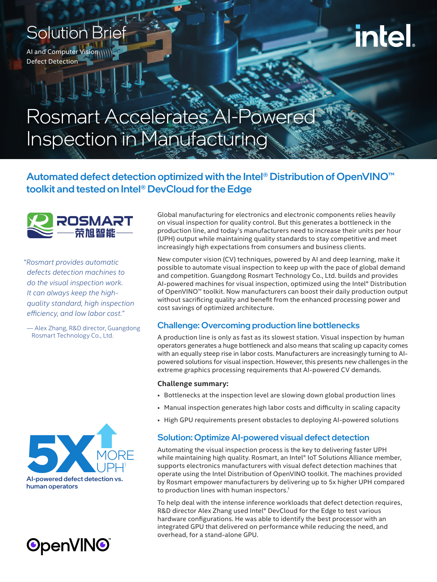## Solution Brief

**AI and Computer Vision** Defect Detection

# **intel**

## Rosmart Accelerates AI-Powered Inspection in Manufacturing

### Automated defect detection optimized with the Intel® Distribution of OpenVINO<sup>™</sup> toolkit and tested on Intel® DevCloud for the Edge



*"Rosmart provides automatic defects detection machines to do the visual inspection work. It can always keep the highquality standard, high inspection efficiency, and low labor cost."*

— Alex Zhang, R&D director, Guangdong Rosmart Technology Co., Ltd.





Global manufacturing for electronics and electronic components relies heavily on visual inspection for quality control. But this generates a bottleneck in the production line, and today's manufacturers need to increase their units per hour (UPH) output while maintaining quality standards to stay competitive and meet increasingly high expectations from consumers and business clients.

New computer vision (CV) techniques, powered by AI and deep learning, make it possible to automate visual inspection to keep up with the pace of global demand and competition. Guangdong Rosmart Technology Co., Ltd. builds and provides AI-powered machines for visual inspection, optimized using the Intel® Distribution of OpenVINO™ toolkit. Now manufacturers can boost their daily production output without sacrificing quality and benefit from the enhanced processing power and cost savings of optimized architecture.

#### Challenge: Overcoming production line bottlenecks

A production line is only as fast as its slowest station. Visual inspection by human operators generates a huge bottleneck and also means that scaling up capacity comes with an equally steep rise in labor costs. Manufacturers are increasingly turning to AIpowered solutions for visual inspection. However, this presents new challenges in the extreme graphics processing requirements that AI-powered CV demands.

#### **Challenge summary:**

- Bottlenecks at the inspection level are slowing down global production lines
- Manual inspection generates high labor costs and difficulty in scaling capacity
- High GPU requirements present obstacles to deploying AI-powered solutions

#### Solution: Optimize AI-powered visual defect detection

Automating the visual inspection process is the key to delivering faster UPH while maintaining high quality. Rosmart, an Intel® IoT Solutions Alliance member, supports electronics manufacturers with visual defect detection machines that operate using the Intel Distribution of OpenVINO toolkit. The machines provided by Rosmart empower manufacturers by delivering up to 5x higher UPH compared to production lines with human inspectors.<sup>1</sup>

To help deal with the intense inference workloads that defect detection requires, R&D director Alex Zhang used Intel® DevCloud for the Edge to test various hardware configurations. He was able to identify the best processor with an integrated GPU that delivered on performance while reducing the need, and overhead, for a stand-alone GPU.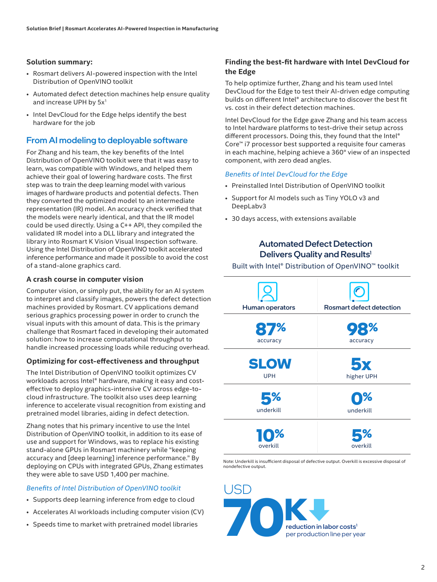#### **Solution summary:**

- Rosmart delivers AI-powered inspection with the Intel Distribution of OpenVINO toolkit
- Automated defect detection machines help ensure quality and increase UPH by 5x<sup>1</sup>
- Intel DevCloud for the Edge helps identify the best hardware for the job

#### From AI modeling to deployable software

For Zhang and his team, the key benefits of the Intel Distribution of OpenVINO toolkit were that it was easy to learn, was compatible with Windows, and helped them achieve their goal of lowering hardware costs. The first step was to train the deep learning model with various images of hardware products and potential defects. Then they converted the optimized model to an intermediate representation (IR) model. An accuracy check verified that the models were nearly identical, and that the IR model could be used directly. Using a C++ API, they compiled the validated IR model into a DLL library and integrated the library into Rosmart K Vision Visual Inspection software. Using the Intel Distribution of OpenVINO toolkit accelerated inference performance and made it possible to avoid the cost of a stand-alone graphics card.

#### **A crash course in computer vision**

Computer vision, or simply put, the ability for an AI system to interpret and classify images, powers the defect detection machines provided by Rosmart. CV applications demand serious graphics processing power in order to crunch the visual inputs with this amount of data. This is the primary challenge that Rosmart faced in developing their automated solution: how to increase computational throughput to handle increased processing loads while reducing overhead.

#### **Optimizing for cost-effectiveness and throughput**

The Intel Distribution of OpenVINO toolkit optimizes CV workloads across Intel® hardware, making it easy and costeffective to deploy graphics-intensive CV across edge-tocloud infrastructure. The toolkit also uses deep learning inference to accelerate visual recognition from existing and pretrained model libraries, aiding in defect detection.

Zhang notes that his primary incentive to use the Intel Distribution of OpenVINO toolkit, in addition to its ease of use and support for Windows, was to replace his existing stand-alone GPUs in Rosmart machinery while "keeping accuracy and [deep learning] inference performance." By deploying on CPUs with integrated GPUs, Zhang estimates they were able to save USD 1,400 per machine.

#### *Benefits of Intel Distribution of OpenVINO toolkit*

- Supports deep learning inference from edge to cloud
- Accelerates AI workloads including computer vision (CV)
- Speeds time to market with pretrained model libraries

#### **Finding the best-fit hardware with Intel DevCloud for the Edge**

To help optimize further, Zhang and his team used Intel DevCloud for the Edge to test their AI-driven edge computing builds on different Intel® architecture to discover the best fit vs. cost in their defect detection machines.

Intel DevCloud for the Edge gave Zhang and his team access to Intel hardware platforms to test-drive their setup across different processors. Doing this, they found that the Intel® Core™ i7 processor best supported a requisite four cameras in each machine, helping achieve a 360° view of an inspected component, with zero dead angles.

#### *Benefits of Intel DevCloud for the Edge*

- Preinstalled Intel Distribution of OpenVINO toolkit
- Support for AI models such as Tiny YOLO v3 and DeepLabv3
- 30 days access, with extensions available

#### Automated Defect Detection Delivers Quality and Results<sup>1</sup>

#### Built with Intel® Distribution of OpenVINO™ toolkit



Note: Underkill is insufficient disposal of defective output. Overkill is excessive disposal of nondefective output.